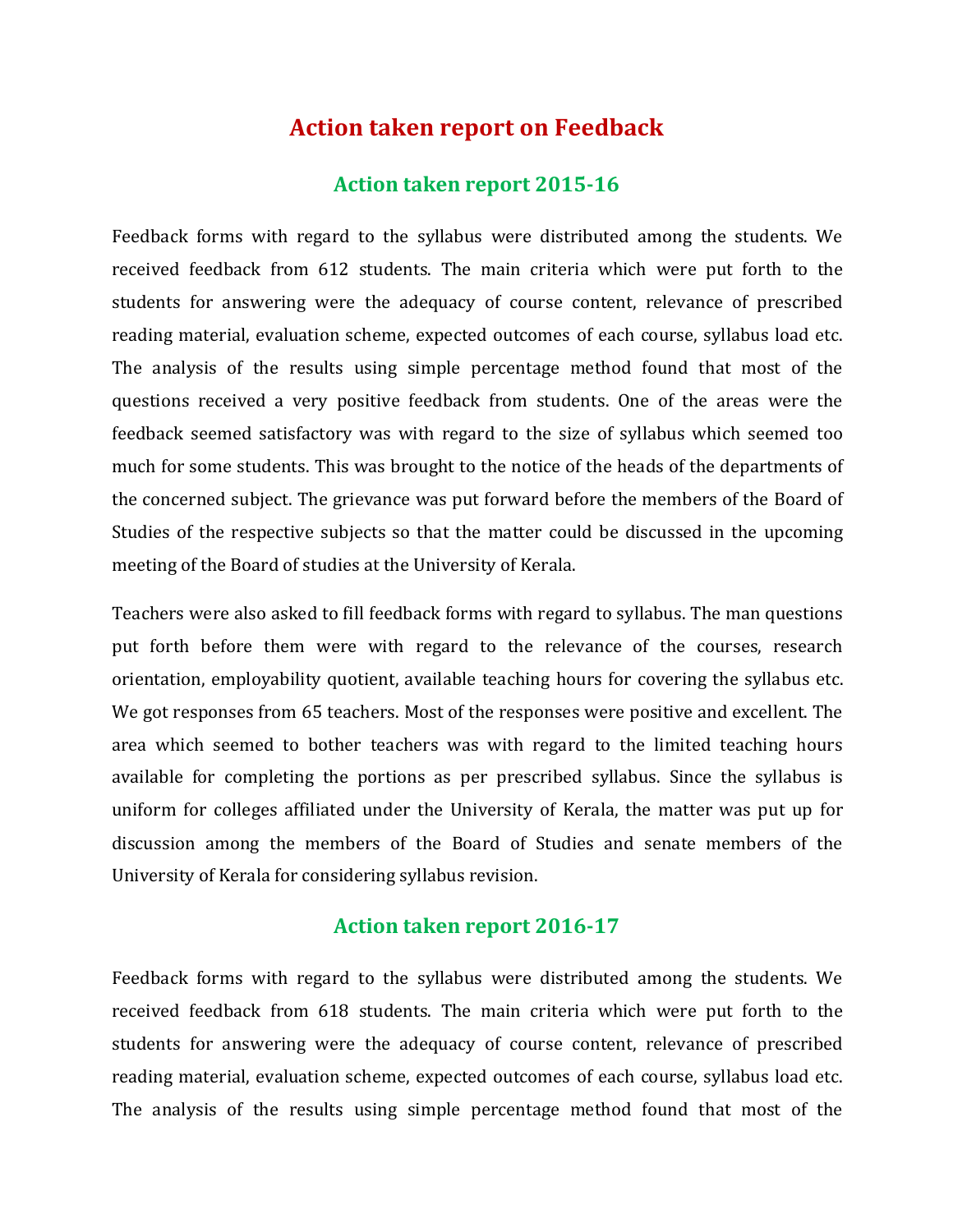# **Action taken report on Feedback**

#### **Action taken report 2015-16**

Feedback forms with regard to the syllabus were distributed among the students. We received feedback from 612 students. The main criteria which were put forth to the students for answering were the adequacy of course content, relevance of prescribed reading material, evaluation scheme, expected outcomes of each course, syllabus load etc. The analysis of the results using simple percentage method found that most of the questions received a very positive feedback from students. One of the areas were the feedback seemed satisfactory was with regard to the size of syllabus which seemed too much for some students. This was brought to the notice of the heads of the departments of the concerned subject. The grievance was putforward before the members of the Board of Studies of the respective subjects so that the matter could be discussed in the upcoming meeting of the Board of studies at the University of Kerala.

Teachers were also asked to fill feedback forms with regard to syllabus. The man questions put forth before them were with regard to the relevance of the courses, research orientation, employability quotient, available teaching hours for covering the syllabus etc. We got responses from 65 teachers. Most of the responses were positive and excellent. The area which seemed to bother teachers was with regard to the limited teaching hours available for completing the portions as per prescribed syllabus. Since the syllabus is uniform for colleges affiliated under the University of Kerala, the matter was put up for discussion among the members of the Board of Studies and senate members of the University of Kerala for considering syllabus revision.

### **Action taken report 2016-17**

Feedback forms with regard to the syllabus were distributed among the students. We received feedback from 618 students. The main criteria which were put forth to the students for answering were the adequacy of course content, relevance of prescribed reading material, evaluation scheme, expected outcomes of each course, syllabus load etc. The analysis of the results using simple percentage method found that most of the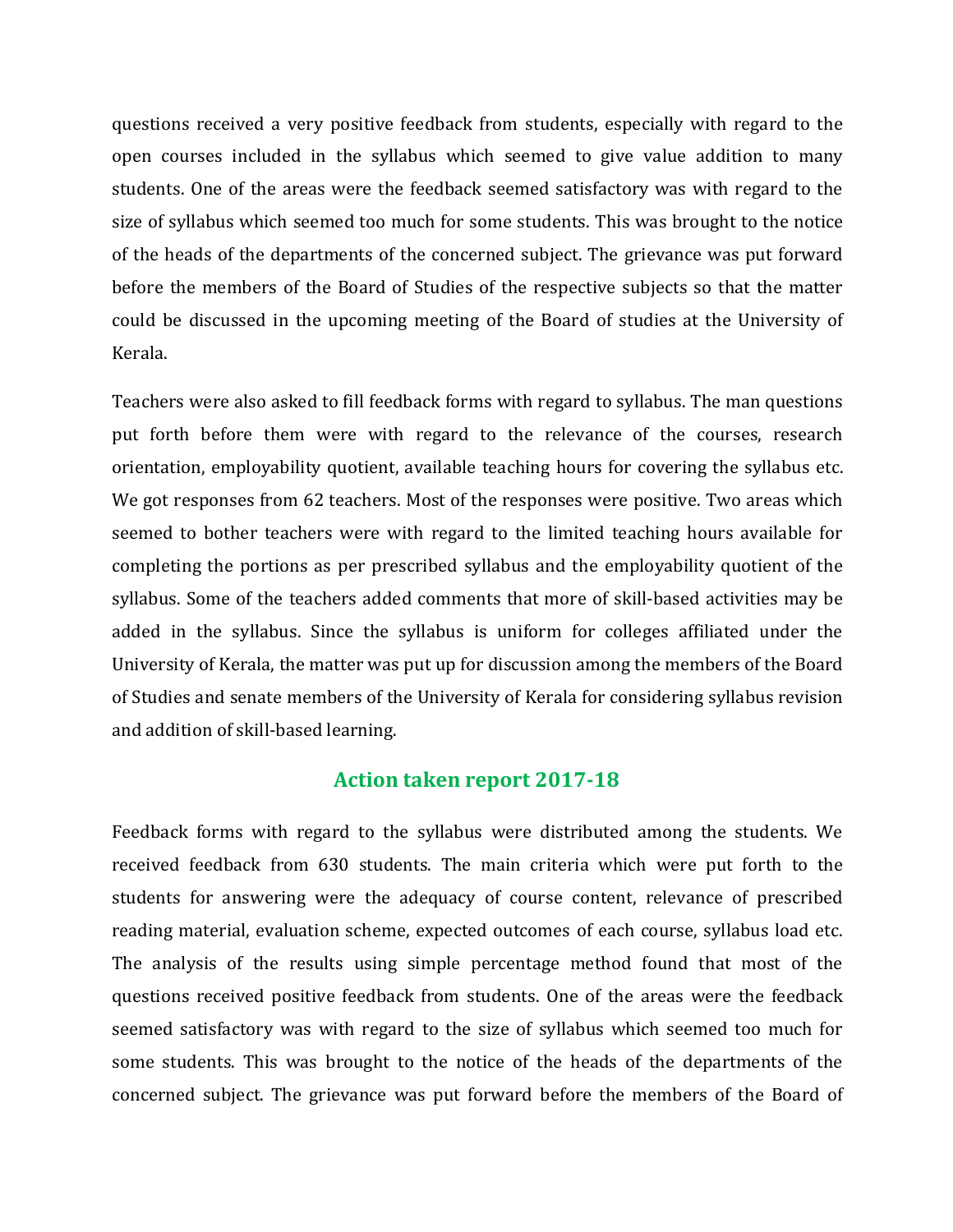questions received a very positive feedback from students, especially with regard to the open courses included in the syllabus which seemed to give value addition to many students. One of the areas were the feedback seemed satisfactory was with regard to the size of syllabus which seemed too much for some students. This was brought to the notice of the heads of the departments of the concerned subject. The grievance was put forward before the members of the Board of Studies of the respective subjects so that the matter could be discussed in the upcoming meeting of the Board of studies at the University of Kerala.

Teachers were also asked to fill feedback forms with regard to syllabus. The man questions put forth before them were with regard to the relevance of the courses, research orientation, employability quotient, available teaching hours for covering the syllabus etc. We got responses from 62 teachers. Most of the responses were positive. Two areas which seemed to bother teachers were with regard to the limited teaching hours available for completing the portions as per prescribed syllabus and the employability quotient of the syllabus. Some of the teachers added comments that more of skill-based activities may be added in the syllabus. Since the syllabus is uniform for colleges affiliated under the University of Kerala, the matter was put up for discussion among the members of the Board of Studies and senate members of the University of Kerala for considering syllabus revision and addition of skill-based learning.

## **Action taken report 2017-18**

Feedback forms with regard to the syllabus were distributed among the students. We received feedback from 630 students. The main criteria which were put forth to the students for answering were the adequacy of course content, relevance of prescribed reading material, evaluation scheme, expected outcomes of each course, syllabus load etc. The analysis of the results using simple percentage method found that most of the questions received positive feedback from students. One of the areas were the feedback seemed satisfactory was with regard to the size of syllabus which seemed too much for some students. This was brought to the notice of the heads of the departments of the concerned subject. The grievance was put forward before the members of the Board of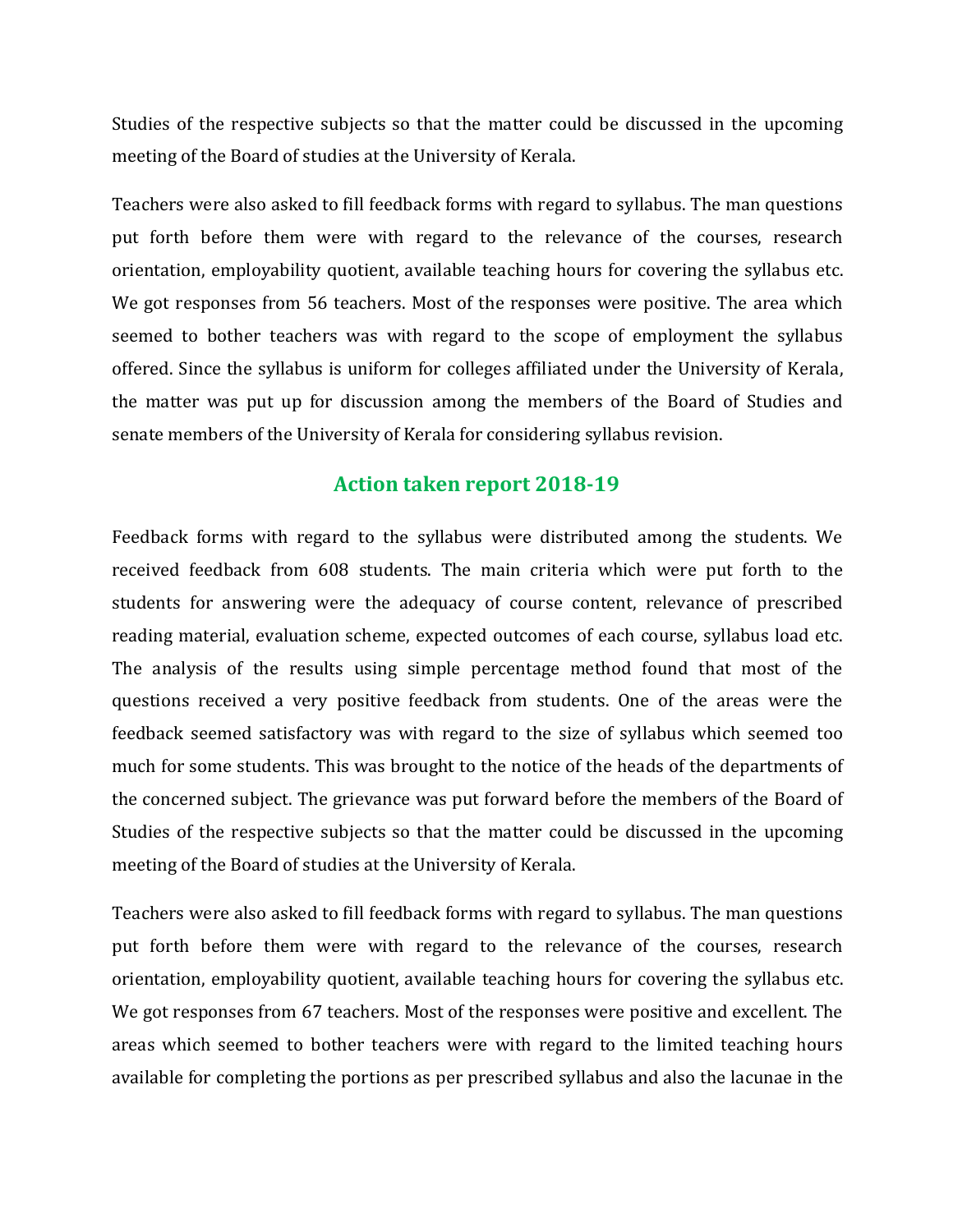Studies of the respective subjects so that the matter could be discussed in the upcoming meeting of the Board of studies at the University of Kerala.

Teachers were also asked to fill feedback forms with regard to syllabus. The man questions put forth before them were with regard to the relevance of the courses, research orientation, employability quotient, available teaching hours for covering the syllabus etc. We got responses from 56 teachers. Most of the responses were positive. The area which seemed to bother teachers was with regard to the scope of employment the syllabus offered. Since the syllabus is uniform for colleges affiliated under the University of Kerala, the matter was put up for discussion among the members of the Board of Studies and senate members of the University of Kerala for considering syllabus revision.

### **Action taken report 2018-19**

Feedback forms with regard to the syllabus were distributed among the students. We received feedback from 608 students. The main criteria which were put forth to the students for answering were the adequacy of course content, relevance of prescribed reading material, evaluation scheme, expected outcomes of each course, syllabus load etc. The analysis of the results using simple percentage method found that most of the questions received a very positive feedback from students. One of the areas were the feedback seemed satisfactory was with regard to the size of syllabus which seemed too much for some students. This was brought to the notice of the heads of the departments of the concerned subject. The grievance was put forward before the members of the Board of Studies of the respective subjects so that the matter could be discussed in the upcoming meeting of the Board of studies at the University of Kerala.

Teachers were also asked to fill feedback forms with regard to syllabus. The man questions put forth before them were with regard to the relevance of the courses, research orientation, employability quotient, available teaching hours for covering the syllabus etc. We got responses from 67 teachers. Most of the responses were positive and excellent. The areas which seemed to bother teachers were with regard to the limited teaching hours available for completing the portions as per prescribed syllabus and also the lacunae in the